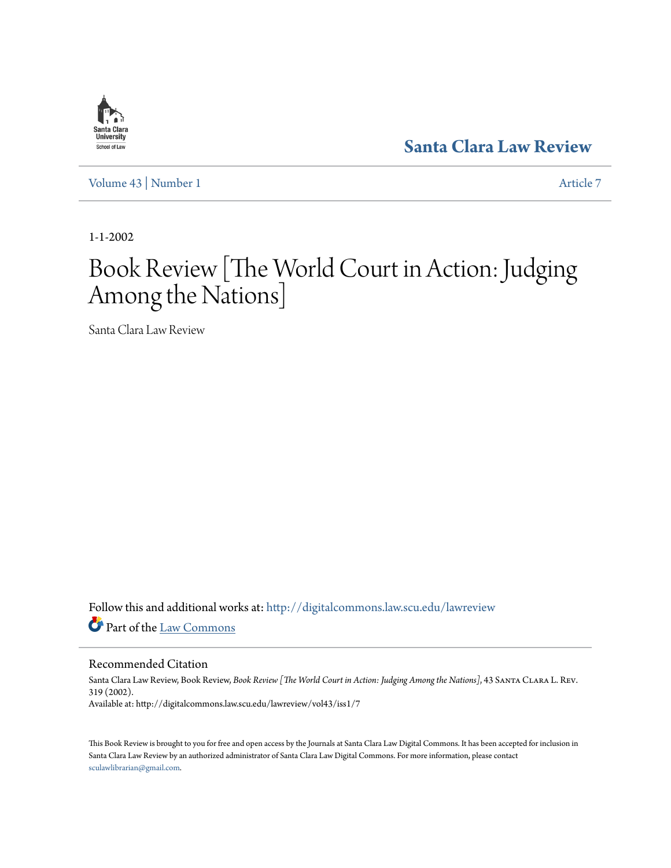# Santa Clara **University** School of Law

**[Santa Clara Law Review](http://digitalcommons.law.scu.edu/lawreview?utm_source=digitalcommons.law.scu.edu%2Flawreview%2Fvol43%2Fiss1%2F7&utm_medium=PDF&utm_campaign=PDFCoverPages)**

[Volume 43](http://digitalcommons.law.scu.edu/lawreview/vol43?utm_source=digitalcommons.law.scu.edu%2Flawreview%2Fvol43%2Fiss1%2F7&utm_medium=PDF&utm_campaign=PDFCoverPages) | [Number 1](http://digitalcommons.law.scu.edu/lawreview/vol43/iss1?utm_source=digitalcommons.law.scu.edu%2Flawreview%2Fvol43%2Fiss1%2F7&utm_medium=PDF&utm_campaign=PDFCoverPages) [Article 7](http://digitalcommons.law.scu.edu/lawreview/vol43/iss1/7?utm_source=digitalcommons.law.scu.edu%2Flawreview%2Fvol43%2Fiss1%2F7&utm_medium=PDF&utm_campaign=PDFCoverPages)

1-1-2002

# Book Review [The World Court in Action: Judging Among the Nations]

Santa Clara Law Review

Follow this and additional works at: [http://digitalcommons.law.scu.edu/lawreview](http://digitalcommons.law.scu.edu/lawreview?utm_source=digitalcommons.law.scu.edu%2Flawreview%2Fvol43%2Fiss1%2F7&utm_medium=PDF&utm_campaign=PDFCoverPages) Part of the [Law Commons](http://network.bepress.com/hgg/discipline/578?utm_source=digitalcommons.law.scu.edu%2Flawreview%2Fvol43%2Fiss1%2F7&utm_medium=PDF&utm_campaign=PDFCoverPages)

# Recommended Citation

Santa Clara Law Review, Book Review, *Book Review [The World Court in Action: Judging Among the Nations]*, 43 Santa Clara L. Rev. 319 (2002). Available at: http://digitalcommons.law.scu.edu/lawreview/vol43/iss1/7

This Book Review is brought to you for free and open access by the Journals at Santa Clara Law Digital Commons. It has been accepted for inclusion in Santa Clara Law Review by an authorized administrator of Santa Clara Law Digital Commons. For more information, please contact [sculawlibrarian@gmail.com](mailto:sculawlibrarian@gmail.com).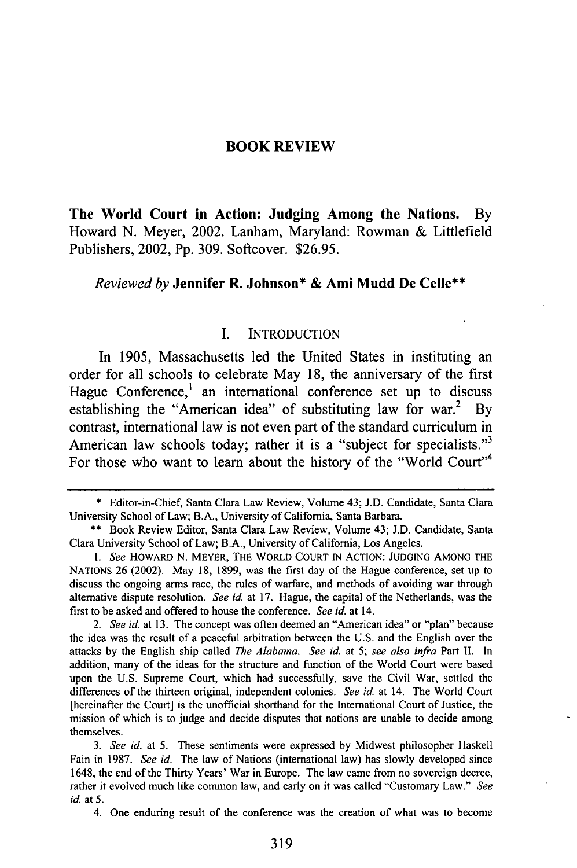#### **BOOK REVIEW**

**The World Court in Action: Judging Among the Nations. By** Howard **N.** Meyer, 2002. Lanham, Maryland: Rowman **&** Littlefield Publishers, 2002, **Pp. 309.** Softcover. **\$26.95.**

#### *Reviewed by* **Jennifer** R. **Johnson\* & Ami Mudd De Celle\*\***

#### **1.** INTRODUCTION

In **1905,** Massachusetts led the United States in instituting an order for all schools to celebrate May **18,** the anniversary of the first Hague Conference,<sup>1</sup> an international conference set up to discuss establishing the "American idea" of substituting law for war.<sup>2</sup> By contrast, international law is not even part of the standard curriculum in American law schools today; rather it is a "subject for specialists."<sup>3</sup> For those who want to learn about the history of the "World Court"<sup>4</sup>

**<sup>\*</sup>** Editor-in-Chief, Santa Clara Law Review, Volume 43; i.D. Candidate, Santa Clara University School of Law; B.A., University of California, Santa Barbara.

<sup>\*\*</sup> Book Review Editor, Santa Clara Law Review, Volume 43; J.D. Candidate, Santa Clara University School of Law; B.A., University of California, Los Angeles.

<sup>1.</sup> See HOWARD N. MEYER, THE WORLD COURT IN ACTION: JUDGING AMONG THE NATIONS 26 (2002). May 18, 1899, was the first day of the Hague conference, set up to discuss the ongoing arms race, the rules of warfare, and methods of avoiding war through alternative dispute resolution. *See id.* at 17. Hague, the capital of the Netherlands, was the first to be asked and offered to house the conference. *See id.* at 14.

*<sup>2.</sup> See id.* at 13. The concept was often deemed an "American idea" or "plan" because the idea was the result of a peaceful arbitration between the U.S. and the English over the attacks **by** the English ship called *The Alabama. See id* at *5; see also infra* Part **II.** In addition, many of the ideas for the structure and function of the World Court were based upon the U.S. Supreme Court, which had successfully, save the Civil War, settled the differences of the thirteen original, independent colonies. *See id* at 14. The World Court [hereinafter the Court] is the unofficial shorthand for the International Court of Justice, the mission of which is to judge and decide disputes that nations are unable to decide among themselves.

*<sup>3.</sup> See id.* at 5. These sentiments were expressed by Midwest philosopher Haskell Fain in 1987. *See id.* The law of Nations (international law) has slowly developed since 1648, the end of the Thirty Years' War in Europe. The law came from no sovereign decree, rather it evolved much like common law, and early on it was called "Customary Law." *See id.* at 5.

<sup>4.</sup> One enduring result of the conference was the creation of what was to become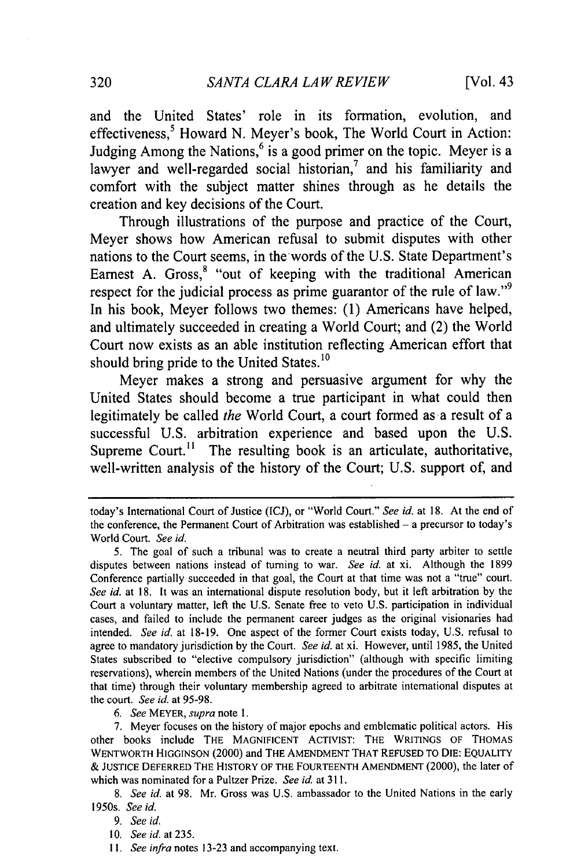and the United States' role in its formation, evolution, and effectiveness,<sup>5</sup> Howard N. Meyer's book, The World Court in Action: Judging Among the Nations,<sup> $6$ </sup> is a good primer on the topic. Meyer is a lawyer and well-regarded social historian,<sup>7</sup> and his familiarity and comfort with the subject matter shines through as he details the creation and key decisions of the Court.

Through illustrations of the purpose and practice of the Court, Meyer shows how American refusal to submit disputes with other nations to the Court seems, in thewords of the **U.S.** State Department's Earnest A. Gross,<sup>8</sup> "out of keeping with the traditional American respect for the judicial process as prime guarantor of the rule of law."<sup>9</sup> In his book, Meyer follows two themes: **(1)** Americans have helped, and ultimately succeeded in creating a World Court; and (2) the World Court now exists as an able institution reflecting American effort that should bring pride to the United States. $^{10}$ 

Meyer makes a strong and persuasive argument for why the United States should become a true participant in what could then legitimately be called *the* World Court, a court formed as a result of a successful **U.S.** arbitration experience and based upon the **U.S.** Supreme Court.<sup>11</sup> The resulting book is an articulate, authoritative, well-written analysis of the history of the Court; **U.S.** support of, and

*6. See* MEYER, *supra* note 1.

today's International Court of Justice (ICJ), or "World Court." *See id.* at 18. At the end of the conference, the Permanent Court of Arbitration was established **-** a precursor to today's World Court. *See id.*

<sup>5.</sup> The goal of such a tribunal was to create a neutral third party arbiter to settle disputes between nations instead of turning to war. *See id.* at xi. Although the 1899 Conference partially succeeded in that goal, the Court at that time was not a "true" court. *See id.* at 18. It was an international dispute resolution body, but it left arbitration by the Court a voluntary matter, left the U.S. Senate free to veto U.S. participation in individual cases, and failed to include the permanent career judges as the original visionaries had intended. *See id.* at 18-19. One aspect of the former Court exists today, U.S. refusal to agree to mandatory jurisdiction by the Court. *See id.* at xi. However, until 1985, the United States subscribed to "elective compulsory jurisdiction" (although with specific limiting reservations), wherein members of the United Nations (under the procedures of the Court at that time) through their voluntary membership agreed to arbitrate international disputes at the court. *See id.* at 95-98.

<sup>7.</sup> Meyer focuses on the history of major epochs and emblematic political actors. His other books include THE MAGNIFICENT ACTIVIST: THE WRITINGS OF THOMAS WENTWORTH HIGGINSON (2000) and THE AMENDMENT THAT REFUSED TO DIE: EQUALITY & JUSTICE DEFERRED THE HISTORY OF THE FOURTEENTH AMENDMENT (2000), the later of which was nominated for a Pultzer Prize. *See id.* at 311.

*<sup>8.</sup> See id.* at 98. Mr. Gross was U.S. ambassador to the United Nations in the early 1950s. *See id.*

*<sup>9.</sup> See id.*

<sup>10.</sup> *Seeid.at235.*

*<sup>1</sup>I. See infra* notes 13-23 and accompanying text.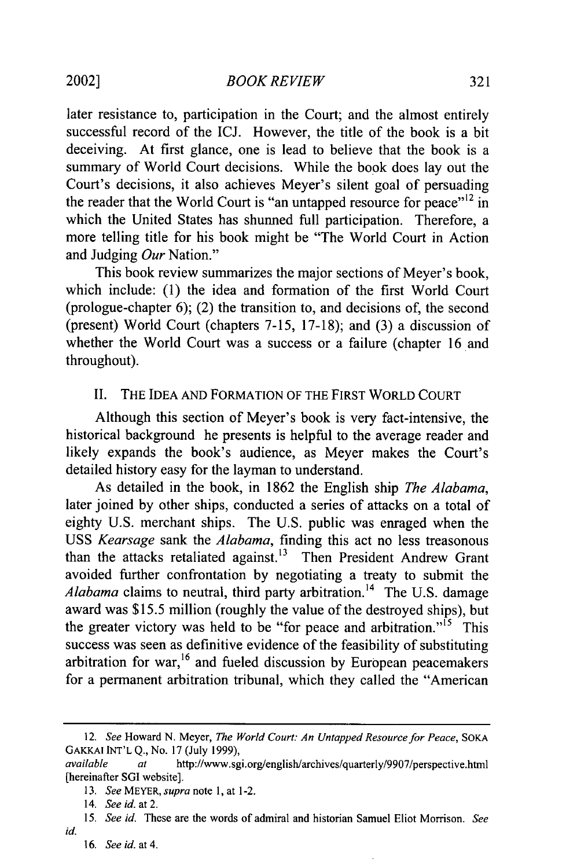later resistance to, participation in the Court; and the almost entirely successful record of the ICJ. However, the title of the book is a bit deceiving. At first glance, one is lead to believe that the book is a summary of World Court decisions. While the book does lay out the Court's decisions, it also achieves Meyer's silent goal of persuading the reader that the World Court is "an untapped resource for peace"<sup> $12$ </sup> in which the United States has shunned full participation. Therefore, a more telling title for his book might be "The World Court in Action and Judging *Our* Nation."

This book review summarizes the major sections of Meyer's book, which include: (1) the idea and formation of the first World Court (prologue-chapter 6); (2) the transition to, and decisions of, the second (present) World Court (chapters 7-15, 17-18); and (3) a discussion of whether the World Court was a success or a failure (chapter 16 and throughout).

# II. THE IDEA AND FORMATION OF THE FIRST WORLD COURT

Although this section of Meyer's book is very fact-intensive, the historical background he presents is helpful to the average reader and likely expands the book's audience, as Meyer makes the Court's detailed history easy for the layman to understand.

As detailed in the book, in 1862 the English ship *The Alabama,* later joined by other ships, conducted a series of attacks on a total of eighty U.S. merchant ships. The U.S. public was enraged when the USS *Kearsage* sank the *Alabama,* finding this act no less treasonous than the attacks retaliated against.<sup>13</sup> Then President Andrew Grant avoided further confrontation by negotiating a treaty to submit the *Alabama* claims to neutral, third party arbitration. 14 The U.S. damage award was \$15.5 million (roughly the value of the destroyed ships), but the greater victory was held to be "for peace and arbitration."<sup>15</sup> This success was seen as definitive evidence of the feasibility of substituting arbitration for war,<sup>16</sup> and fueled discussion by European peacemakers for a permanent arbitration tribunal, which they called the "American

<sup>12.</sup> See Howard N. Meyer, The *World Court: An Untapped Resource for Peace,* SOKA GAKKAI INT'L **Q.,** No. 17 (July 1999),

available *at* http://www.sgi.org/english/archives/quarterly/9907/perspective.html [hereinafter SGI website].

<sup>13.</sup> *See* MEYER, *supra* note 1, at 1-2.

<sup>14.</sup> See id. at 2.

*<sup>15.</sup> See id.* These are the words of admiral and historian Samuel Eliot Morrison. *See id.*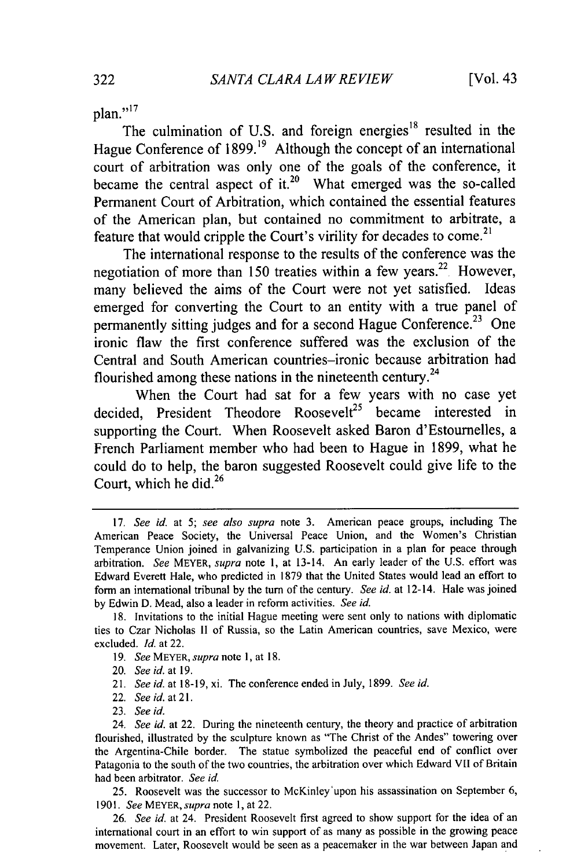plan."<sup>17</sup>

The culmination of U.S. and foreign energies<sup>18</sup> resulted in the Hague Conference of 1899.<sup>19</sup> Although the concept of an international court of arbitration was only one of the goals of the conference, it became the central aspect of it.<sup>20</sup> What emerged was the so-called Permanent Court of Arbitration, which contained the essential features of the American plan, but contained no commitment to arbitrate, a feature that would cripple the Court's virility for decades to come.<sup>21</sup>

The international response to the results of the conference was the negotiation of more than 150 treaties within a few years.<sup>22</sup> However, many believed the aims of the Court were not yet satisfied. Ideas emerged for converting the Court to an entity with a true panel of permanently sitting judges and for a second Hague Conference.<sup>23</sup> One ironic flaw the first conference suffered was the exclusion of the Central and South American countries-ironic because arbitration had flourished among these nations in the nineteenth century.<sup>24</sup>

When the Court had sat for a few years with no case yet decided, President Theodore Roosevelt<sup>25</sup> became interested in supporting the Court. When Roosevelt asked Baron d'Estournelles, a French Parliament member who had been to Hague in 1899, what he could do to help, the baron suggested Roosevelt could give life to the Court, which he did.<sup>26</sup>

- **19.** *See MEYER, supra note* **1,** at 18.
- 20. *See id.* at 19.
- 21. *See id.* at 18-19, xi. The conference ended in July, 1899. *See id.*
- 22. *See id. at 21.*
- 23. *See id.*

25. Roosevelt was the successor to McKinley'upon his assassination on September 6, 1901. *See MEYER, supra* note 1, at 22.

26. *See id.* at 24. President Roosevelt first agreed to show support for the idea of an international court in an effort to win support of as many as possible in the growing peace movement. Later, Roosevelt would be seen as a peacemaker in the war between Japan and

<sup>17.</sup> *See id.* at 5; *see also supra* note 3. American peace groups, including The American Peace Society, the Universal Peace Union, and the Women's Christian Temperance Union joined in galvanizing U.S. participation in a plan for peace through arbitration. *See* MEYER, *supra* note **1,** at 13-14. An early leader of the U.S. effort was Edward Everett Hale, who predicted in 1879 that the United States would lead an effort to form an international tribunal by the turn of the century. *See id.* at 12-14. Hale was joined by Edwin D. Mead, also a leader in reform activities. *See id.*

<sup>18.</sup> Invitations to the initial Hague meeting were sent only to nations with diplomatic ties to Czar Nicholas **II** of Russia, so the Latin American countries, save Mexico, were excluded. *Id.* at 22.

<sup>24.</sup> *See id.* at 22. During the nineteenth century, the theory and practice of arbitration flourished, illustrated by the sculpture known as "The Christ of the Andes" towering over the Argentina-Chile border. The statue symbolized the peaceful end of conflict over Patagonia to the south of the two countries, the arbitration over which Edward VII of Britain had been arbitrator. *See id.*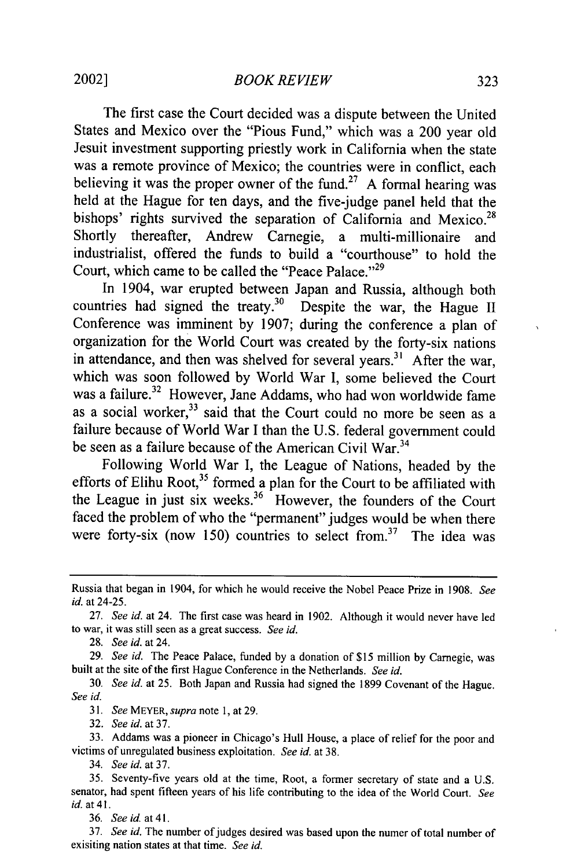The first case the Court decided was a dispute between the United States and Mexico over the "Pious Fund," which was a 200 year old Jesuit investment supporting priestly work in California when the state was a remote province of Mexico; the countries were in conflict, each believing it was the proper owner of the fund.<sup>27</sup> A formal hearing was held at the Hague for ten days, and the five-judge panel held that the bishops' rights survived the separation of California and Mexico.<sup>28</sup> Shortly thereafter, Andrew Carnegie, a multi-millionaire and industrialist, offered the funds to build a "courthouse" to hold the Court, which came to be called the "Peace Palace."<sup>29</sup>

In 1904, war erupted between Japan and Russia, although both countries had signed the treaty.<sup>30</sup> Despite the war, the Hague II Conference was imminent by 1907; during the conference a plan of organization for the World Court was created by the forty-six nations in attendance, and then was shelved for several years.<sup>31</sup> After the war, which was soon followed by World War I, some believed the Court was a failure.<sup>32</sup> However, Jane Addams, who had won worldwide fame as a social worker,  $33$  said that the Court could no more be seen as a failure because of World War I than the U.S. federal government could be seen as a failure because of the American Civil War.<sup>34</sup>

Following World War I, the League of Nations, headed by the efforts of Elihu Root,<sup>35</sup> formed a plan for the Court to be affiliated with the League in just six weeks. $36$  However, the founders of the Court faced the problem of who the "permanent" judges would be when there were forty-six (now 150) countries to select from.<sup>37</sup> The idea was

28. *See id.* at 24.

29. *See id.* The Peace Palace, funded by a donation of \$15 million by Carnegie, was built at the site of the first Hague Conference in the Netherlands. *See id.*

30. *See id.* at 25. Both Japan and Russia had signed the 1899 Covenant of the Hague. *See id.*

31. *See* MEYER, *supra* note 1, at 29.

32. *See id.* at 37.

33. Addams was a pioneer in Chicago's Hull House, a place of relief for the poor and victims of unregulated business exploitation. *See id.* at 38.

34. *See id.* at 37.

35. Seventy-five years old at the time, Root, a former secretary of state and a U.S. senator, had spent fifteen years of his life contributing to the idea of the World Court. *See id.* at 41.

36. *See* id. *at* **41.**

37. *See id.* The number of judges desired was based upon the numer of total number of exisiting nation states at that time. *See id.*

Russia that began in 1904, for which he would receive the Nobel Peace Prize in 1908. *See id.* at 24-25.

<sup>27.</sup> *See id.* at 24. The first case was heard in 1902. Although it would never have led to war, it was still seen as a great success. *See id.*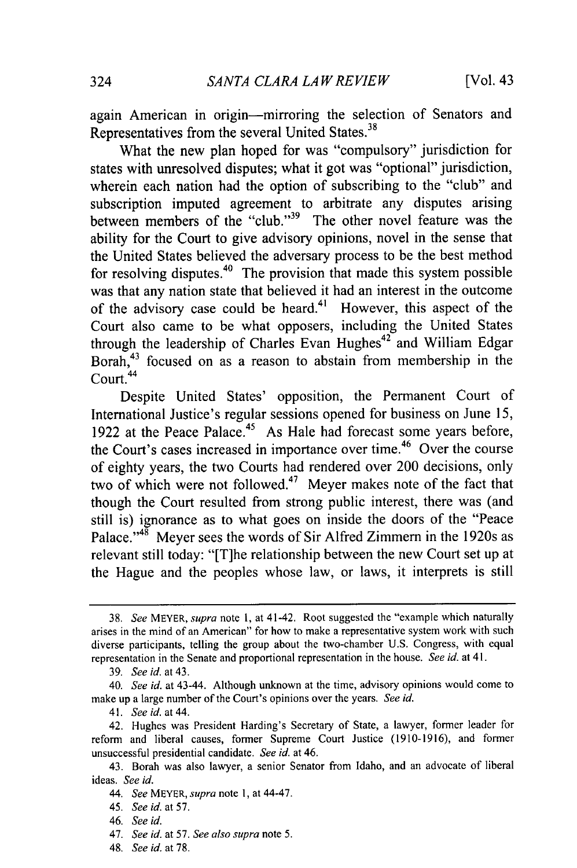again American in origin-mirroring the selection of Senators and Representatives from the several United States.<sup>38</sup>

What the new plan hoped for was "compulsory" jurisdiction for states with unresolved disputes; what it got was "optional" jurisdiction, wherein each nation had the option of subscribing to the "club" and subscription imputed agreement to arbitrate any disputes arising between members of the "club."<sup>39</sup> The other novel feature was the ability for the Court to give advisory opinions, novel in the sense that the United States believed the adversary process to be the best method for resolving disputes. $40$  The provision that made this system possible was that any nation state that believed it had an interest in the outcome of the advisory case could be heard.<sup>41</sup> However, this aspect of the Court also came to be what opposers, including the United States through the leadership of Charles Evan Hughes $42^{\circ}$  and William Edgar Borah,<sup>43</sup> focused on as a reason to abstain from membership in the Court.<sup>44</sup>

Despite United States' opposition, the Permanent Court of International Justice's regular sessions opened for business on June 15, 1922 at the Peace Palace.<sup>45</sup> As Hale had forecast some years before, the Court's cases increased in importance over time.<sup>46</sup> Over the course of eighty years, the two Courts had rendered over 200 decisions, only two of which were not followed.<sup>47</sup> Meyer makes note of the fact that though the Court resulted from strong public interest, there was (and still is) ignorance as to what goes on inside the doors of the "Peace Palace."<sup>48</sup> Meyer sees the words of Sir Alfred Zimmern in the 1920s as relevant still today: "[T]he relationship between the new Court set up at the Hague and the peoples whose law, or laws, it interprets is still

<sup>38.</sup> *See* MEYER, *supra* note **1,** at 41-42. Root suggested the "example which naturally arises in the mind of an American" for how to make a representative system work with such diverse participants, telling the group about the two-chamber U.S. Congress, with equal representation in the Senate and proportional representation in the house. *See id.* at 41.

<sup>39.</sup> *See* id. at 43.

<sup>40.</sup> *See id.* at 43-44. Although unknown at the time, advisory opinions would come to make up a large number of the Court's opinions over the years. *See id.*

<sup>41.</sup> *See id. at 44.*

<sup>42.</sup> Hughes was President Harding's Secretary of State, a lawyer, former leader for reform and liberal causes, former Supreme Court Justice (1910-1916), and former unsuccessful presidential candidate. *See id.* at 46.

<sup>43.</sup> Borah was also lawyer, a senior Senator from Idaho, and an advocate of liberal ideas. *See id.*

*<sup>44.</sup> See* MEYER, *supra* note **1,** at 44-47.

<sup>45.</sup> *See id.* at 57.

<sup>46.</sup> *See id.*

<sup>47.</sup> *See id.* at 57. *See also supra* note 5.

<sup>48.</sup> *See id.* at 78.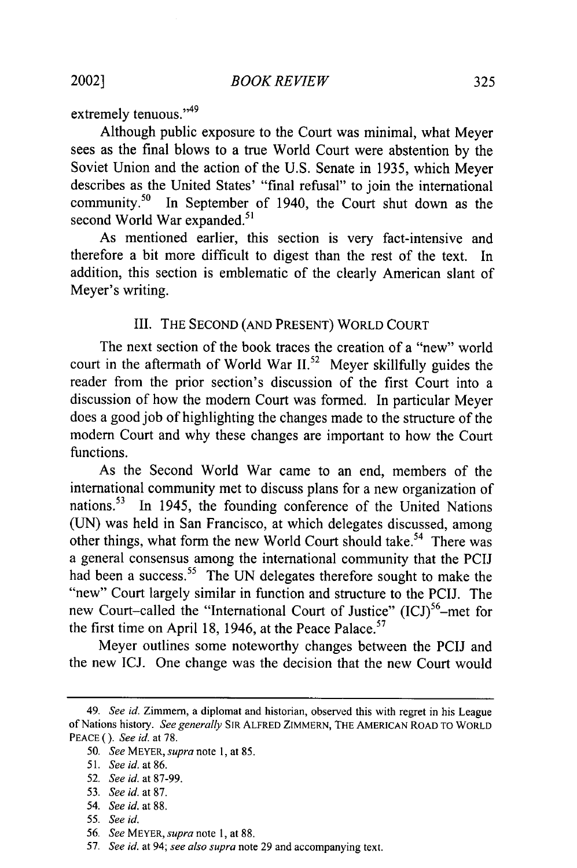2002]

extremely tenuous."<sup>49</sup>

Although public exposure to the Court was minimal, what Meyer sees as the final blows to a true World Court were abstention by the Soviet Union and the action of the U.S. Senate in 1935, which Meyer describes as the United States' "final refusal" to join the international community.50 In September of 1940, the Court shut down as the second World War expanded.<sup>51</sup>

As mentioned earlier, this section is very fact-intensive and therefore a bit more difficult to digest than the rest of the text. In addition, this section is emblematic of the clearly American slant of Meyer's writing.

# **III.** THE **SECOND (AND PRESENT)** WORLD **COURT**

The next section of the book traces the creation of a "new" world court in the aftermath of World War **11.52** Meyer skillfully guides the reader from the prior section's discussion of the first Court into a discussion of how the modem Court was fonned. In particular Meyer does a good job of highlighting the changes made to the structure of the modem Court and why these changes are important to how the Court functions.

As the Second World War came to an end, members of the international community met to discuss plans for a new organization of nations.<sup>53</sup> In 1945, the founding conference of the United Nations (UN) was held in San Francisco, at which delegates discussed, among other things, what form the new World Court should take.<sup>54</sup> There was a general consensus among the international community that the PCIJ had been a success.<sup>55</sup> The UN delegates therefore sought to make the "new" Court largely similar in function and structure to the PCIJ. The new Court-called the "International Court of Justice" (ICJ)<sup>56</sup>-met for the first time on April 18, 1946, at the Peace Palace.<sup>57</sup>

Meyer outlines some noteworthy changes between the PCIJ and the new ICJ. One change was the decision that the new Court would

*<sup>49.</sup>* See id. Zimmern, a diplomat and historian, observed this with regret in his League of Nations history. See generally SIR ALFRED ZIMMERN, THE **AMERICAN** ROAD TO WORLD PEACE *().* See *id.* at 78.

<sup>50.</sup> See MEYER, supra note **1,** at 85.

<sup>51.</sup> See id. at 86.

<sup>52.</sup> See *id.* at 87-99.

<sup>53.</sup> See id. at 87.

<sup>54.</sup> See *id.* at 88.

<sup>55.</sup> See *id.*

<sup>56.</sup> See MEYER, supra note **1,** at 88.

**<sup>57.</sup>** See *id.* at 94; see also supra note 29 and accompanying text.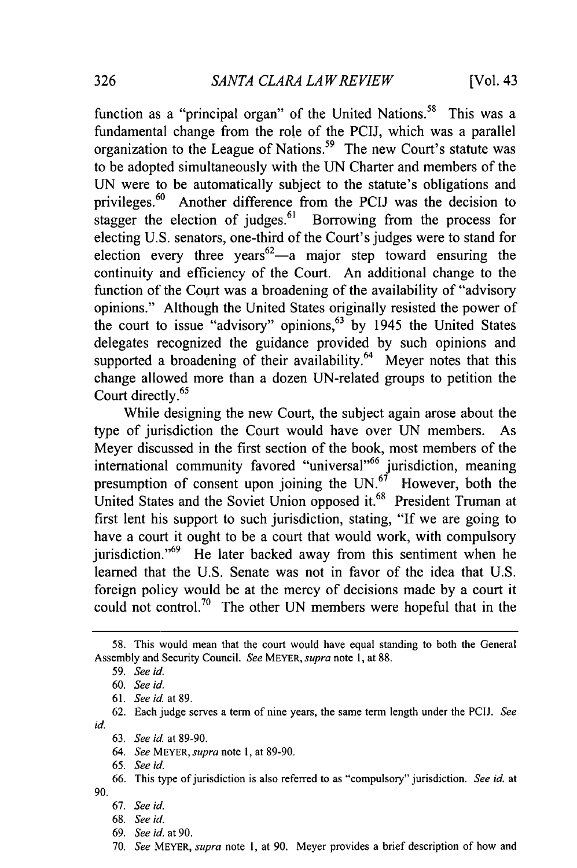[Vol. 43

function as a "principal organ" of the United Nations.<sup>58</sup> This was a fundamental change from the role of the PCIJ, which was a parallel organization to the League of Nations. 59 The new Court's statute was to be adopted simultaneously with the UN Charter and members of the UN were to be automatically subject to the statute's obligations and privileges.<sup>60</sup> Another difference from the PCIJ was the decision to stagger the election of judges. $61$  Borrowing from the process for electing U.S. senators, one-third of the Court's judges were to stand for election every three years<sup>62</sup>—a major step toward ensuring the continuity and efficiency of the Court. An additional change to the function of the Court was a broadening of the availability of "advisory opinions." Although the United States originally resisted the power of the court to issue "advisory" opinions,  $63$  by 1945 the United States delegates recognized the guidance provided by such opinions and supported a broadening of their availability. $64$  Meyer notes that this change allowed more than a dozen UN-related groups to petition the Court directly.<sup>65</sup>

While designing the new Court, the subject again arose about the type of jurisdiction the Court would have over UN members. As Meyer discussed in the first section of the book, most members of the international community favored "universal"<sup>66</sup> jurisdiction, meaning presumption of consent upon joining the  $UN<sup>67</sup>$  However, both the United States and the Soviet Union opposed it.<sup>68</sup> President Truman at first lent his support to such jurisdiction, stating, "If we are going to have a court it ought to be a court that would work, with compulsory jurisdiction."<sup>69</sup> He later backed away from this sentiment when he learned that the U.S. Senate was not in favor of the idea that U.S. foreign policy would be at the mercy of decisions made by a court it could not control.<sup>70</sup> The other UN members were hopeful that in the

<sup>58.</sup> This would mean that the court would have equal standing to both the General Assembly and Security Council. *See* MEYER, *supra* note 1, at 88.

<sup>59.</sup> *See id.*

<sup>60.</sup> *See id.*

<sup>61.</sup> *See id.* at 89.

<sup>62.</sup> Each judge serves a term of nine years, the same term length under the PCIJ. *See id.*

<sup>63.</sup> *See id.* at 89-90.

<sup>64.</sup> *See* MEYER, *supra* note **1,** at 89-90.

<sup>65.</sup> *See id.*

<sup>66.</sup> This type of jurisdiction is also referred to as "compulsory" jurisdiction. *See id.* at 90.

<sup>67.</sup> See *id.*

**<sup>68.</sup>** *See* id.

<sup>69.</sup> *See id.* at 90.

<sup>70.</sup> *See* MEYER, *supra* note **1,** at 90. Meyer provides a brief description of how and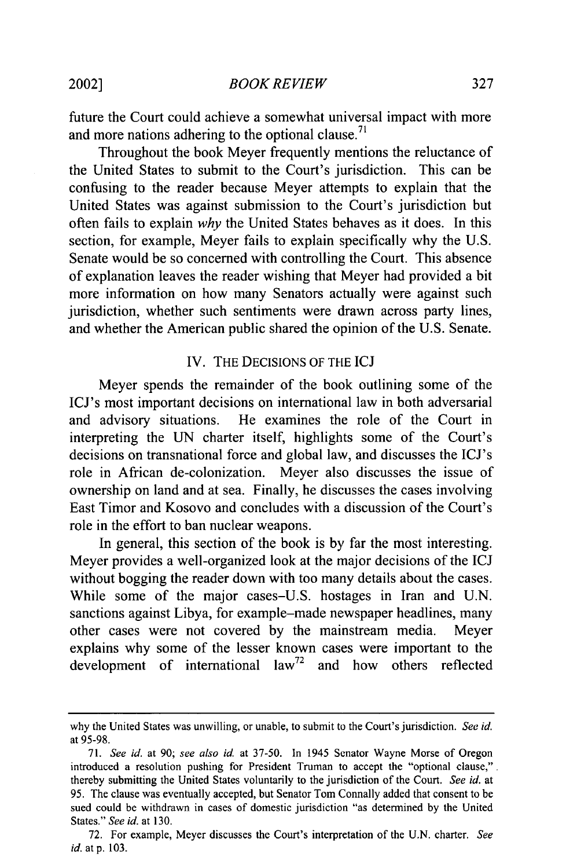future the Court could achieve a somewhat universal impact with more and more nations adhering to the optional clause.<sup>71</sup>

Throughout the book Meyer frequently mentions the reluctance of the United States to submit to the Court's jurisdiction. This can be confusing to the reader because Meyer attempts to explain that the United States was against submission to the Court's jurisdiction but often fails to explain *why* the United States behaves as it does. In this section, for example, Meyer fails to explain specifically why the U.S. Senate would be so concerned with controlling the Court. This absence of explanation leaves the reader wishing that Meyer had provided a bit more information on how many Senators actually were against such jurisdiction, whether such sentiments were drawn across party lines, and whether the American public shared the opinion of the U.S. Senate.

#### IV. THE DECISIONS OF THE ICJ

Meyer spends the remainder of the book outlining some of the ICJ's most important decisions on international law in both adversarial and advisory situations. He examines the role of the Court in interpreting the UN charter itself, highlights some of the Court's decisions on transnational force and global law, and discusses the ICJ's role in African de-colonization. Meyer also discusses the issue of ownership on land and at sea. Finally, he discusses the cases involving East Timor and Kosovo and concludes with a discussion of the Court's role in the effort to ban nuclear weapons.

In general, this section of the book is by far the most interesting. Meyer provides a well-organized look at the major decisions of the ICJ without bogging the reader down with too many details about the cases. While some of the major cases-U.S. hostages in Iran and U.N. sanctions against Libya, for example-made newspaper headlines, many other cases were not covered by the mainstream media. Meyer explains why some of the lesser known cases were important to the development of international law<sup>72</sup> and how others reflected

2002]

why the United States was unwilling, or unable, to submit to the Court's jurisdiction. *See id.* at 95-98.

<sup>71.</sup> *See id.* at 90; see also *id* at 37-50. In 1945 Senator Wayne Morse of Oregon introduced a resolution pushing for President Truman to accept the "optional clause,". thereby submitting the United States voluntarily to the jurisdiction of the Court. *See id.* at 95. The clause was eventually accepted, but Senator Tom Connally added that consent to be sued could be withdrawn in cases of domestic jurisdiction "as determined by the United States." *See id.* at 130.

<sup>72.</sup> For example, Meyer discusses the Court's interpretation of the U.N. charter. *See id.* at p. 103.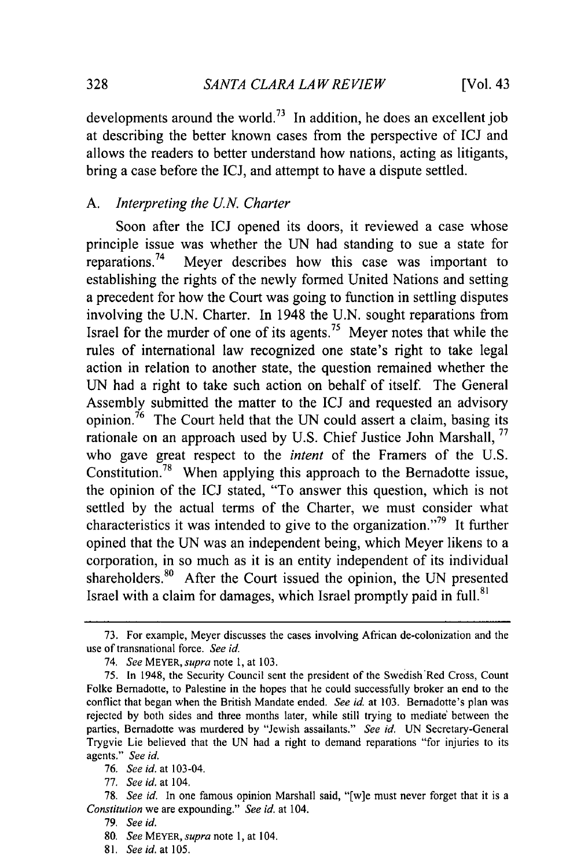developments around the world.<sup>73</sup> In addition, he does an excellent job at describing the better known cases from the perspective of ICJ and allows the readers to better understand how nations, acting as litigants, bring a case before the ICJ, and attempt to have a dispute settled.

# *A. Interpreting the* **U.N.** *Charter*

Soon after the ICJ opened its doors, it reviewed a case whose principle issue was whether the UN had standing to sue a state for reparations. 74 Meyer describes how this case was important to establishing the rights of the newly formed United Nations and setting a precedent for how the Court was going to function in settling disputes involving the U.N. Charter. In 1948 the U.N. sought reparations from Israel for the murder of one of its agents.<sup>75</sup> Meyer notes that while the rules of international law recognized one state's right to take legal action in relation to another state, the question remained whether the UN had a right to take such action on behalf of itself. The General Assembly submitted the matter to the ICJ and requested an advisory opinion.<sup>76</sup> The Court held that the UN could assert a claim, basing its rationale on an approach used by U.S. Chief Justice John Marshall, <sup>77</sup> who gave great respect to the *intent* of the Framers of the U.S. Constitution.78 When applying this approach to the Bernadotte issue, the opinion of the ICJ stated, "To answer this question, which is not settled by the actual terms of the Charter, we must consider what characteristics it was intended to give to the organization.<sup> $279$ </sup> It further opined that the UN was an independent being, which Meyer likens to a corporation, in so much as it is an entity independent of its individual shareholders.<sup>80</sup> After the Court issued the opinion, the UN presented Israel with a claim for damages, which Israel promptly paid in full.<sup>81</sup>

81. *See id. at* **105.**

<sup>73.</sup> For example, Meyer discusses the cases involving African de-colonization and the use of transnational force. *See id.*

<sup>74.</sup> *See MEYER, supra* note 1, at 103.

<sup>75.</sup> In 1948, the Security Council sent the president of the Swedish Red Cross, Count Folke Bernadotte, to Palestine in the hopes that he could successfully broker an end to the conflict that began when the British Mandate ended. *See* id. at 103. Bernadotte's plan was rejected by both sides and three months later, while still trying to mediate between the parties, Bernadotte was murdered by "Jewish assailants." *See id.* UN Secretary-General Trygvie Lie believed that the UN had a right to demand reparations "for injuries to its agents." *See id.*

<sup>76.</sup> *See id.* at 103-04.

<sup>77.</sup> *See id.* at 104.

<sup>78.</sup> *See id.* In one famous opinion Marshall said, "[w]e must never forget that it is a *Constitution* we are expounding." *See id.* at 104.

<sup>79.</sup> *See id.*

<sup>80.</sup> *See* MEYER, *supra* note 1, at 104.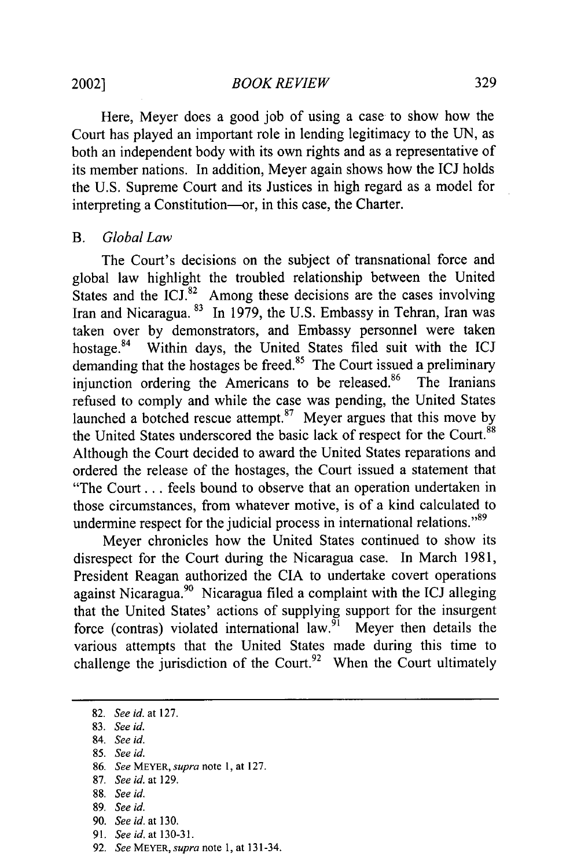Here, Meyer does a good job of using a case to show how the Court has played an important role in lending legitimacy to the UN, as both an independent body with its own rights and as a representative of its member nations. In addition, Meyer again shows how the ICJ holds the U.S. Supreme Court and its Justices in high regard as a model for interpreting a Constitution-or, in this case, the Charter.

# *B. Global Law*

The Court's decisions on the subject of transnational force and global law highlight the troubled relationship between the United States and the ICJ. $82$  Among these decisions are the cases involving Iran and Nicaragua. **83** In 1979, the U.S. Embassy in Tehran, Iran was taken over by demonstrators, and Embassy personnel were taken hostage.<sup>84</sup> Within days, the United States filed suit with the ICJ demanding that the hostages be freed.<sup>85</sup> The Court issued a preliminary injunction ordering the Americans to be released. $86$  The Iranians refused to comply and while the case was pending, the United States launched a botched rescue attempt.<sup>87</sup> Meyer argues that this move by the United States underscored the basic lack of respect for the Court.<sup>88</sup> Although the Court decided to award the United States reparations and ordered the release of the hostages, the Court issued a statement that "The Court... feels bound to observe that an operation undertaken in those circumstances, from whatever motive, is of a kind calculated to undermine respect for the judicial process in international relations."<sup>89</sup>

Meyer chronicles how the United States continued to show its disrespect for the Court during the Nicaragua case. In March 1981, President Reagan authorized the CIA to undertake covert operations against Nicaragua.<sup>90</sup> Nicaragua filed a complaint with the ICJ alleging that the United States' actions of supplying support for the insurgent force (contras) violated international law.  $91$  Meyer then details the various attempts that the United States made during this time to challenge the jurisdiction of the Court.<sup>92</sup> When the Court ultimately

- 83. *See id.*
- 84. *See id.*
- 85. *See id.*
- 86. *See* MEYER, *supra* note **1,** at 127.
- 87. *See id.* at 129.
- 88. *See id.*
- 89. *See id.*
- 90. *See id.* at 130.
- 91. *See id.* at 130-31.
- 92. *See MEYER, supra* note 1, at 131-34.

<sup>82.</sup> *See id.* at 127.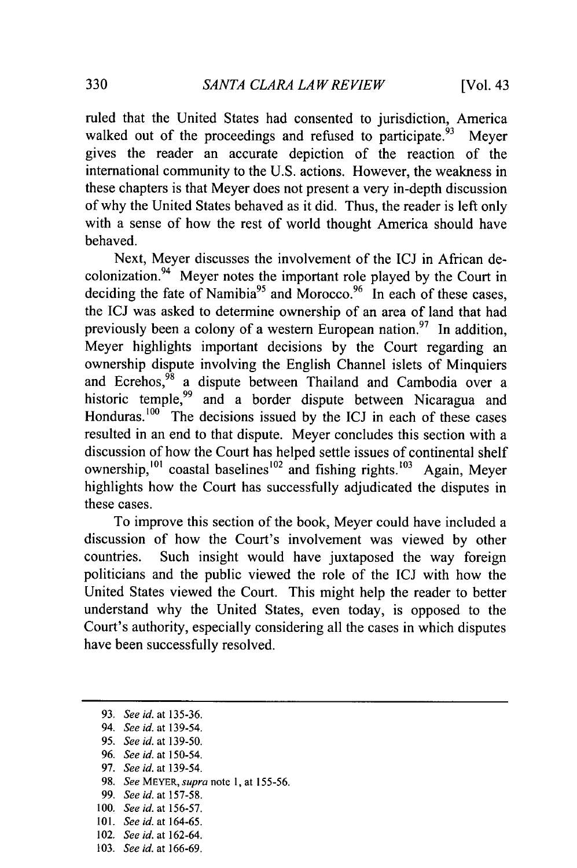ruled that the United States had consented to jurisdiction, America walked out of the proceedings and refused to participate.<sup>93</sup> Meyer gives the reader an accurate depiction of the reaction of the international community to the U.S. actions. However, the weakness in these chapters is that Meyer does not present a very in-depth discussion of why the United States behaved as it did. Thus, the reader is left only with a sense of how the rest of world thought America should have behaved.

Next, Meyer discusses the involvement of the ICJ in African decolonization.<sup>94</sup> Meyer notes the important role played by the Court in deciding the fate of Namibia<sup>95</sup> and Morocco.<sup>96</sup> In each of these cases, the ICJ was asked to determine ownership of an area of land that had previously been a colony of a western European nation.<sup>97</sup> In addition, Meyer highlights important decisions by the Court regarding an ownership dispute involving the English Channel islets of Minquiers and Ecrehos,<sup>98</sup> a dispute between Thailand and Cambodia over a historic temple,<sup>99</sup> and a border dispute between Nicaragua and Honduras. $100$  The decisions issued by the ICJ in each of these cases resulted in an end to that dispute. Meyer concludes this section with a discussion of how the Court has helped settle issues of continental shelf ownership,<sup>101</sup> coastal baselines<sup>102</sup> and fishing rights.<sup>103</sup> Again, Meyer highlights how the Court has successfully adjudicated the disputes in these cases.

To improve this section of the book, Meyer could have included a discussion of how the Court's involvement was viewed by other countries. Such insight would have juxtaposed the way foreign politicians and the public viewed the role of the ICJ with how the United States viewed the Court. This might help the reader to better understand why the United States, even today, is opposed to the Court's authority, especially considering all the cases in which disputes have been successfully resolved.

- 97. See id. at 139-54.
- **98.** See MEYER, supra note **1,** at **155-56.**
- 99. See id. at 157-58.
- **100.** See id. at 156-57.
- **101.** See id. at **164-65.**
- 102. See *id.* at 162-64.
- **103.** See id. at **166-69.**

<sup>93.</sup> See id. at **135-36.**

<sup>94.</sup> See id. at 139-54.

<sup>95.</sup> See id. at 139-50.

<sup>96.</sup> See id. at 150-54.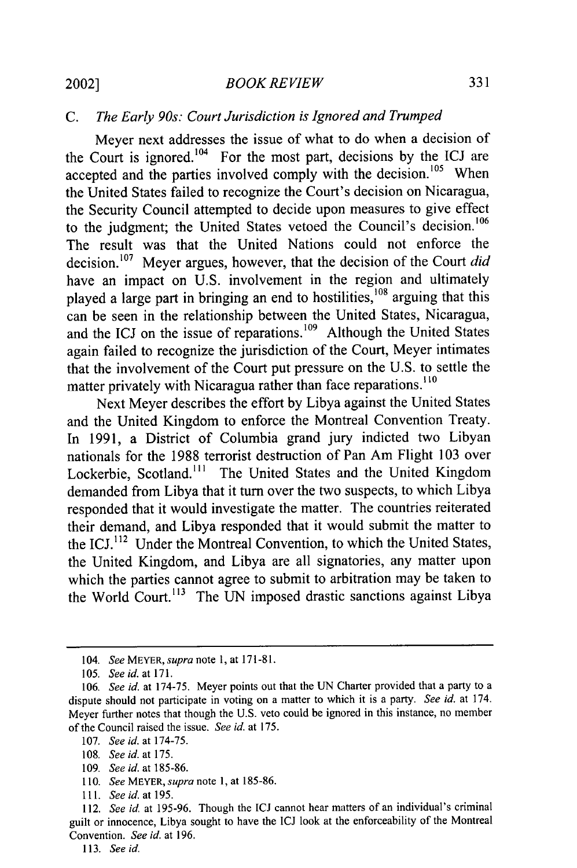#### *BOOK REVIEW*

# *C. The Early 90s: Court Jurisdiction is Ignored and Trumped*

Meyer next addresses the issue of what to do when a decision of the Court is ignored.<sup>104</sup> For the most part, decisions by the ICJ are accepted and the parties involved comply with the decision.<sup>105</sup> When the United States failed to recognize the Court's decision on Nicaragua, the Security Council attempted to decide upon measures to give effect to the judgment; the United States vetoed the Council's decision.<sup>106</sup> The result was that the United Nations could not enforce the decision.<sup>107</sup> Meyer argues, however, that the decision of the Court *did* have an impact on U.S. involvement in the region and ultimately played a large part in bringing an end to hostilities,<sup>108</sup> arguing that this can be seen in the relationship between the United States, Nicaragua, and the ICJ on the issue of reparations.<sup>109</sup> Although the United States again failed to recognize the jurisdiction of the Court, Meyer intimates that the involvement of the Court put pressure on the U.S. to settle the matter privately with Nicaragua rather than face reparations.<sup>110</sup>

Next Meyer describes the effort by Libya against the United States and the United Kingdom to enforce the Montreal Convention Treaty. In 1991, a District of Columbia grand jury indicted two Libyan nationals for the 1988 terrorist destruction of Pan Am Flight 103 over Lockerbie, Scotland.<sup>111</sup> The United States and the United Kingdom demanded from Libya that it turn over the two suspects, to which Libya responded that it would investigate the matter. The countries reiterated their demand, and Libya responded that it would submit the matter to the ICJ. 112 Under the Montreal Convention, to which the United States, the United Kingdom, and Libya are all signatories, any matter upon which the parties cannot agree to submit to arbitration may be taken to the World Court.<sup>113</sup> The UN imposed drastic sanctions against Libya

- 109. *See id.* at 185-86.
- 110. *See* MEYER, *supra* note **1,** at 185-86.

113. *See id.*

<sup>104.</sup> *See* MEYER, *supra* note 1, at 171-81.

<sup>105.</sup> *See id.* at **171.**

<sup>106.</sup> *See id.* at 174-75. Meyer points out that the UN Charter provided that a party to a dispute should not participate in voting on a matter to which it is a party. *See id.* at 174. Meyer further notes that though the U.S. veto could be ignored in this instance, no member of the Council raised the issue. *See id.* at 175.

<sup>107.</sup> *See id.* at 174-75.

<sup>108.</sup> *See id.* at 175.

**<sup>111.</sup>** *See id. at 195.*

<sup>112.</sup> *See id.* at 195-96. Though the ICJ cannot hear matters of an individual's criminal guilt or innocence, Libya sought to have the ICJ look at the enforceability of the Montreal Convention. *See id.* at 196.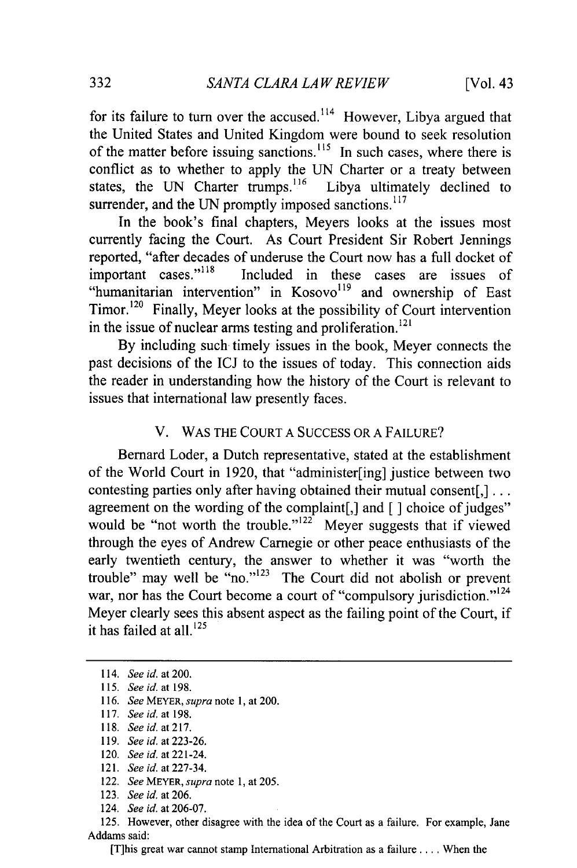for its failure to turn over the accused.<sup>114</sup> However, Libya argued that the United States and United Kingdom were bound to seek resolution of the matter before issuing sanctions.' *15* In such cases, where there is conflict as to whether to apply the UN Charter or a treaty between states, the UN Charter trumps.<sup>116</sup> Libya ultimately declined to surrender, and the UN promptly imposed sanctions. $117$ 

In the book's final chapters, Meyers looks at the issues most currently facing the Court. As Court President Sir Robert Jennings reported, "after decades of underuse the Court now has a full docket of important cases."<sup>118</sup> Included in these cases are issues of "humanitarian intervention" in Kosovo<sup>119</sup> and ownership of East Timor.<sup>120</sup> Finally, Meyer looks at the possibility of Court intervention in the issue of nuclear arms testing and proliferation.<sup>121</sup>

By including such timely issues in the book, Meyer connects the past decisions of the ICJ to the issues of today. This connection aids the reader in understanding how the history of the Court is relevant to issues that international law presently faces.

#### V. WAS THE COURT A SUCCESS OR A FAILURE?

Bernard Loder, a Dutch representative, stated at the establishment of the World Court in 1920, that "administer[ing] justice between two contesting parties only after having obtained their mutual consent[,]... agreement on the wording of the complaint[,] and [] choice of judges" would be "not worth the trouble." $122$  Meyer suggests that if viewed through the eyes of Andrew Carnegie or other peace enthusiasts of the early twentieth century, the answer to whether it was "worth the trouble" may well be "no." $123$  The Court did not abolish or prevent war, nor has the Court become a court of "compulsory jurisdiction."<sup>124</sup> Meyer clearly sees this absent aspect as the failing point of the Court, if it has failed at all. $^{125}$ 

- 118. *See id. at217.*
- 119. *See id.* at 223-26.
- 120. *See id.* at 221-24.
- 121. *See id.* at 227-34.
- 122. *See* MEYER, *supra* note 1, at **205.**
- 123. *See id.* at 206.
- 124. *See id.* at 206-07.

125. However, other disagree with the idea of the Court as a failure. For example, Jane Addams said:

[T]his great war cannot stamp International Arbitration as a failure .... When the

<sup>114.</sup> *See id.* at 200.

<sup>115.</sup> *See id. at 198.*

<sup>116.</sup> *See* MEYER, *supra* note 1, at 200.

<sup>117.</sup> *See id. at* 198.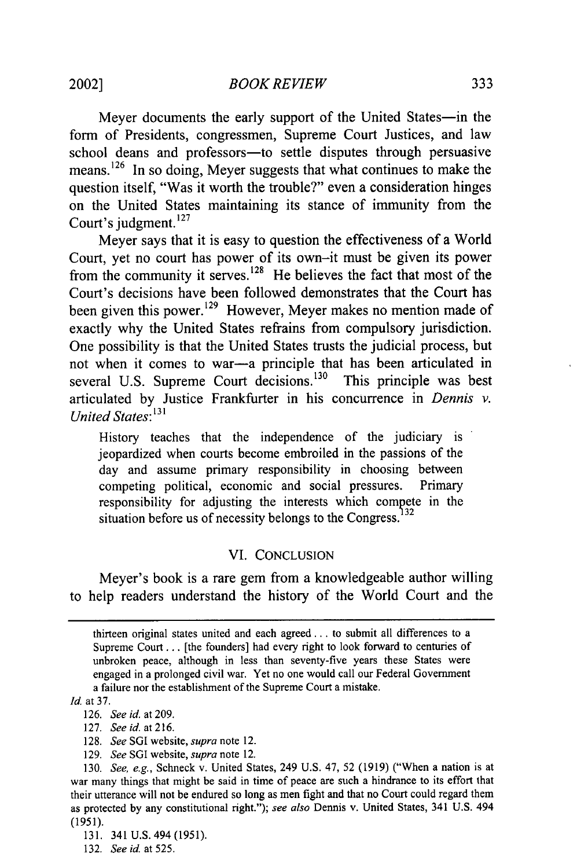Meyer documents the early support of the United States-in the form of Presidents, congressmen, Supreme Court Justices, and law school deans and professors-to settle disputes through persuasive means.<sup>126</sup> In so doing, Meyer suggests that what continues to make the question itself, "Was it worth the trouble?" even a consideration hinges on the United States maintaining its stance of immunity from the Court's judgment. 127

Meyer says that it is easy to question the effectiveness of a World Court, yet no court has power of its own-it must be given its power from the community it serves.<sup>128</sup> He believes the fact that most of the Court's decisions have been followed demonstrates that the Court has been given this power.<sup>129</sup> However, Meyer makes no mention made of exactly why the United States refrains from compulsory jurisdiction. One possibility is that the United States trusts the judicial process, but not when it comes to war—a principle that has been articulated in several U.S. Supreme Court decisions. $130$  This principle was best articulated by Justice Frankfurter in his concurrence in *Dennis v. United States:131*

History teaches that the independence of the judiciary is jeopardized when courts become embroiled in the passions of the day and assume primary responsibility in choosing between competing political, economic and social pressures. Primary responsibility for adjusting the interests which compete in the situation before us of necessity belongs to the Congress.<sup>132</sup>

# VI. CONCLUSION

Meyer's book is a rare gem from a knowledgeable author willing to help readers understand the history of the World Court and the

*Id.* at 37.

- 128. *See* SGI website, *supra* note 12.
- 129. *See* SGI website, *supra* note 12.

131. 341 U.S.494 (1951).

thirteen original states united and each agreed.., to submit all differences to a Supreme Court... [the founders] had every right to look forward to centuries of unbroken peace, although in less than seventy-five years these States were engaged in a prolonged civil war. Yet no one would call our Federal Government a failure nor the establishment of the Supreme Court a mistake.

<sup>126.</sup> *See id.* at 209.

<sup>127.</sup> *See id.* at 216.

<sup>130.</sup> *See, e.g.,* Schneck v. United States, 249 U.S. 47, 52 (1919) ("When a nation is at war many things that might be said in time of peace are such a hindrance to its effort that their utterance will not be endured so long as men fight and that no Court could regard them as protected by any constitutional right."); *see also* Dennis v. United States, 341 U.S. 494 (1951).

<sup>132.</sup> *See id.* at 525.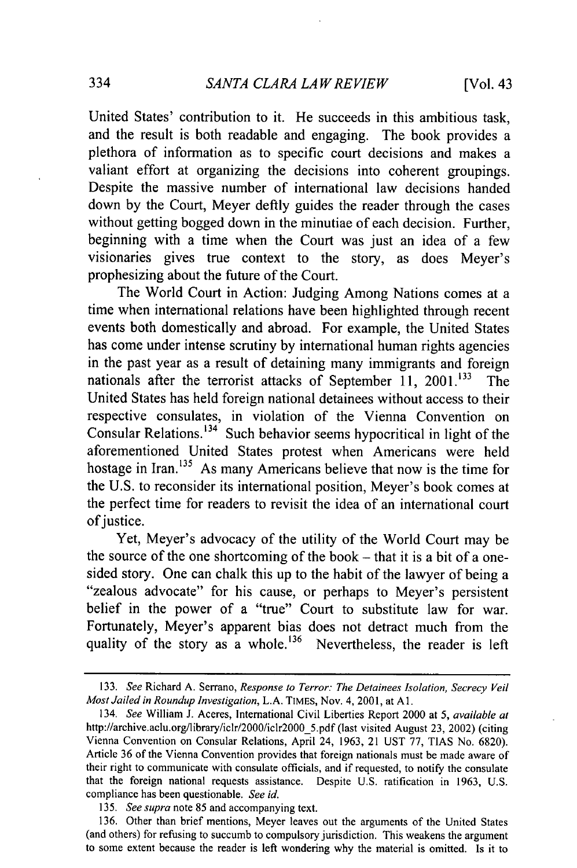United States' contribution to it. He succeeds in this ambitious task, and the result is both readable and engaging. The book provides a plethora of information as to specific court decisions and makes a valiant effort at organizing the decisions into coherent groupings. Despite the massive number of international law decisions handed down by the Court, Meyer deftly guides the reader through the cases without getting bogged down in the minutiae of each decision. Further, beginning with a time when the Court was just an idea of a few visionaries gives true context to the story, as does Meyer's prophesizing about the future of the Court.

The World Court in Action: Judging Among Nations comes at a time when international relations have been highlighted through recent events both domestically and abroad. For example, the United States has come under intense scrutiny by international human rights agencies in the past year as a result of detaining many immigrants and foreign nationals after the terrorist attacks of September 11, 2001.<sup>133</sup> The United States has held foreign national detainees without access to their respective consulates, in violation of the Vienna Convention on Consular Relations.<sup>134</sup> Such behavior seems hypocritical in light of the aforementioned United States protest when Americans were held hostage in Iran.<sup>135</sup> As many Americans believe that now is the time for the U.S. to reconsider its international position, Meyer's book comes at the perfect time for readers to revisit the idea of an international court of justice.

Yet, Meyer's advocacy of the utility of the World Court may be the source of the one shortcoming of the book  $-$  that it is a bit of a onesided story. One can chalk this up to the habit of the lawyer of being a "zealous advocate" for his cause, or perhaps to Meyer's persistent belief in the power of a "true" Court to substitute law for war. Fortunately, Meyer's apparent bias does not detract much from the quality of the story as a whole.<sup>136</sup> Nevertheless, the reader is left

<sup>133.</sup> *See* Richard A. Serrano, *Response to Terror: The Detainees Isolation, Secrecy Veil Most Jailed in Roundup Investigation,* L.A. TIMES, Nov. 4, 2001, at **Al.**

<sup>134.</sup> *See* William J. Aceres, International Civil Liberties Report 2000 at *5, available at* http://archive.aclu.org/library/iclr/2000/iclr2000\_5.pdf (last visited August 23, 2002) (citing Vienna Convention on Consular Relations, April 24, 1963, 21 UST 77, TIAS No. 6820). Article 36 of the Vienna Convention provides that foreign nationals must be made aware of their right to communicate with consulate officials, and if requested, to notify the consulate that the foreign national requests assistance. Despite U.S. ratification in 1963, U.S. compliance has been questionable. *See id.*

<sup>135.</sup> *See supra* note 85 and accompanying text.

<sup>136.</sup> Other than brief mentions, Meyer leaves out the arguments of the United States (and others) for refusing to succumb to compulsory jurisdiction. This weakens the argument to some extent because the reader is left wondering why the material is omitted. Is it to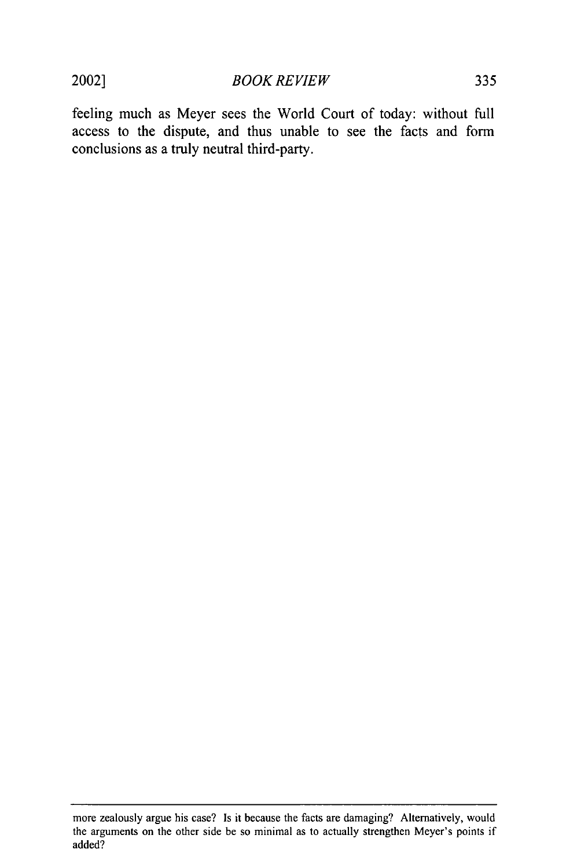2002]

335

feeling much as Meyer sees the World Court of today: without full access to the dispute, and thus unable to see the facts and form conclusions as a truly neutral third-party.

more zealously argue his case? Is it because the facts are damaging? Alternatively, would the arguments on the other side be so minimal as to actually strengthen Meyer's points if added?